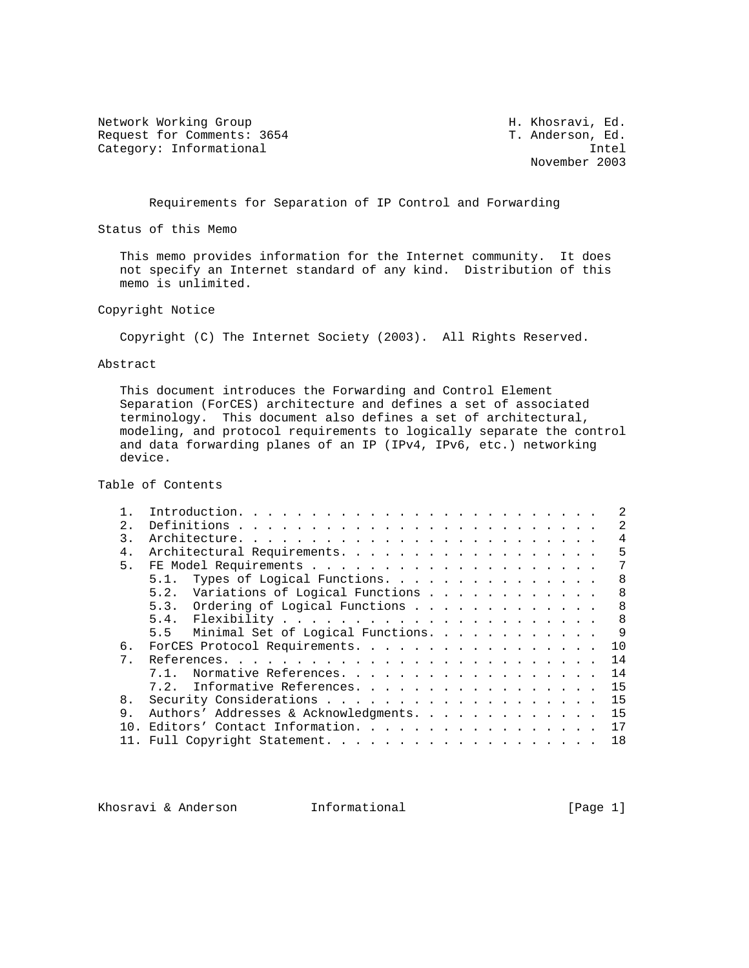Network Working Group **H. Khosravi, Ed.** 6. Request for Comments: 3654 T. Anderson, Ed. Category: Informational intellectual intellectual intellectual intellectual intellectual intellectual intellectual intellectual intellectual intellectual intellectual intellectual intellectual intellectual intellectual int

November 2003

Requirements for Separation of IP Control and Forwarding

Status of this Memo

 This memo provides information for the Internet community. It does not specify an Internet standard of any kind. Distribution of this memo is unlimited.

Copyright Notice

Copyright (C) The Internet Society (2003). All Rights Reserved.

Abstract

 This document introduces the Forwarding and Control Element Separation (ForCES) architecture and defines a set of associated terminology. This document also defines a set of architectural, modeling, and protocol requirements to logically separate the control and data forwarding planes of an IP (IPv4, IPv6, etc.) networking device.

Table of Contents

|                | $\mathcal{L}$                                 |
|----------------|-----------------------------------------------|
| 2.1            | 2                                             |
| 3              | $\overline{4}$                                |
| 4.             | 5<br>Architectural Requirements.              |
| 5 <sub>1</sub> | 7                                             |
|                | Types of Logical Functions.<br>8<br>5.1.      |
|                | 5.2. Variations of Logical Functions<br>8     |
|                | 5.3. Ordering of Logical Functions<br>8       |
|                | 8                                             |
|                | 9<br>Minimal Set of Logical Functions.<br>5.5 |
| б.             | 1 O<br>ForCES Protocol Requirements.          |
| 7 <sub>1</sub> | 14                                            |
|                | 14<br>Normative References.                   |
|                | 15<br>7.2. Informative References.            |
| 8.             | 15                                            |
| 9.             | Authors' Addresses & Acknowledgments.<br>15   |
| 1 N            | 17<br>Editors' Contact Information.           |
|                | 18                                            |
|                |                                               |

Khosravi & Anderson and Informational (Page 1)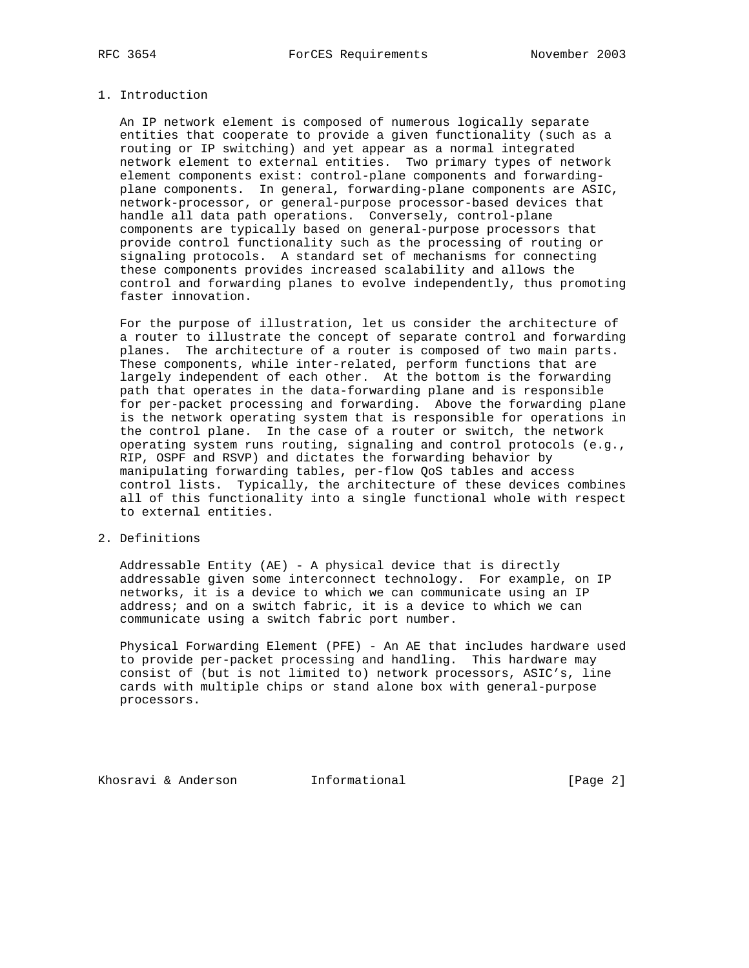## 1. Introduction

 An IP network element is composed of numerous logically separate entities that cooperate to provide a given functionality (such as a routing or IP switching) and yet appear as a normal integrated network element to external entities. Two primary types of network element components exist: control-plane components and forwarding plane components. In general, forwarding-plane components are ASIC, network-processor, or general-purpose processor-based devices that handle all data path operations. Conversely, control-plane components are typically based on general-purpose processors that provide control functionality such as the processing of routing or signaling protocols. A standard set of mechanisms for connecting these components provides increased scalability and allows the control and forwarding planes to evolve independently, thus promoting faster innovation.

 For the purpose of illustration, let us consider the architecture of a router to illustrate the concept of separate control and forwarding planes. The architecture of a router is composed of two main parts. These components, while inter-related, perform functions that are largely independent of each other. At the bottom is the forwarding path that operates in the data-forwarding plane and is responsible for per-packet processing and forwarding. Above the forwarding plane is the network operating system that is responsible for operations in the control plane. In the case of a router or switch, the network operating system runs routing, signaling and control protocols (e.g., RIP, OSPF and RSVP) and dictates the forwarding behavior by manipulating forwarding tables, per-flow QoS tables and access control lists. Typically, the architecture of these devices combines all of this functionality into a single functional whole with respect to external entities.

# 2. Definitions

 Addressable Entity (AE) - A physical device that is directly addressable given some interconnect technology. For example, on IP networks, it is a device to which we can communicate using an IP address; and on a switch fabric, it is a device to which we can communicate using a switch fabric port number.

 Physical Forwarding Element (PFE) - An AE that includes hardware used to provide per-packet processing and handling. This hardware may consist of (but is not limited to) network processors, ASIC's, line cards with multiple chips or stand alone box with general-purpose processors.

Khosravi & Anderson **Informational Informational** [Page 2]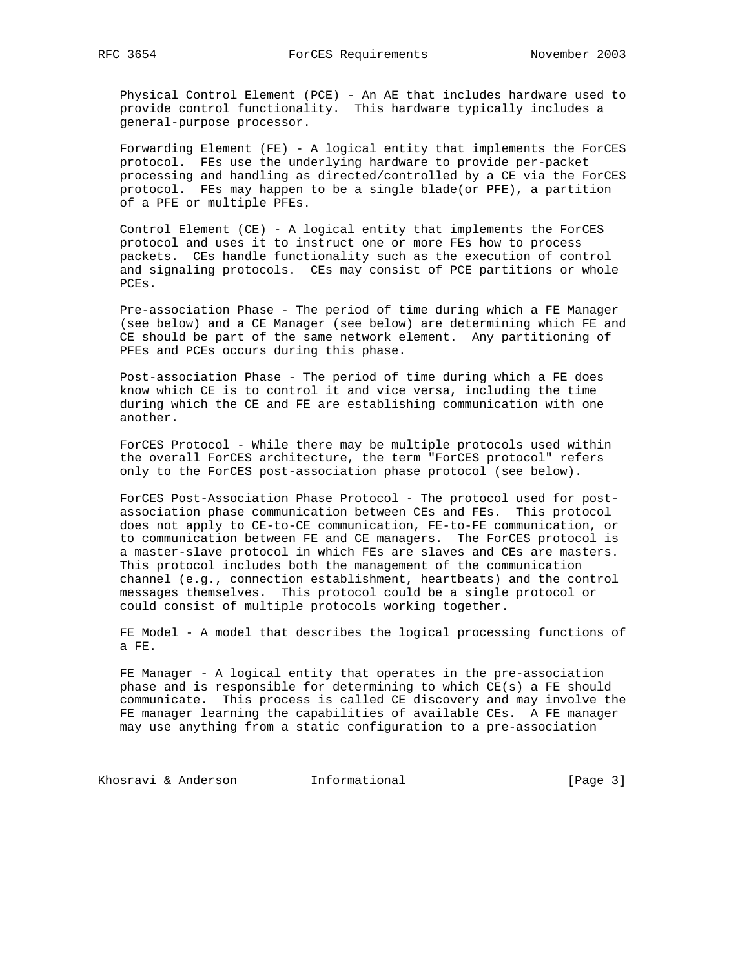Physical Control Element (PCE) - An AE that includes hardware used to provide control functionality. This hardware typically includes a general-purpose processor.

 Forwarding Element (FE) - A logical entity that implements the ForCES protocol. FEs use the underlying hardware to provide per-packet processing and handling as directed/controlled by a CE via the ForCES protocol. FEs may happen to be a single blade(or PFE), a partition of a PFE or multiple PFEs.

 Control Element (CE) - A logical entity that implements the ForCES protocol and uses it to instruct one or more FEs how to process packets. CEs handle functionality such as the execution of control and signaling protocols. CEs may consist of PCE partitions or whole PCEs.

 Pre-association Phase - The period of time during which a FE Manager (see below) and a CE Manager (see below) are determining which FE and CE should be part of the same network element. Any partitioning of PFEs and PCEs occurs during this phase.

 Post-association Phase - The period of time during which a FE does know which CE is to control it and vice versa, including the time during which the CE and FE are establishing communication with one another.

 ForCES Protocol - While there may be multiple protocols used within the overall ForCES architecture, the term "ForCES protocol" refers only to the ForCES post-association phase protocol (see below).

 ForCES Post-Association Phase Protocol - The protocol used for post association phase communication between CEs and FEs. This protocol does not apply to CE-to-CE communication, FE-to-FE communication, or to communication between FE and CE managers. The ForCES protocol is a master-slave protocol in which FEs are slaves and CEs are masters. This protocol includes both the management of the communication channel (e.g., connection establishment, heartbeats) and the control messages themselves. This protocol could be a single protocol or could consist of multiple protocols working together.

 FE Model - A model that describes the logical processing functions of a FE.

 FE Manager - A logical entity that operates in the pre-association phase and is responsible for determining to which CE(s) a FE should communicate. This process is called CE discovery and may involve the FE manager learning the capabilities of available CEs. A FE manager may use anything from a static configuration to a pre-association

Khosravi & Anderson **Informational Informational** [Page 3]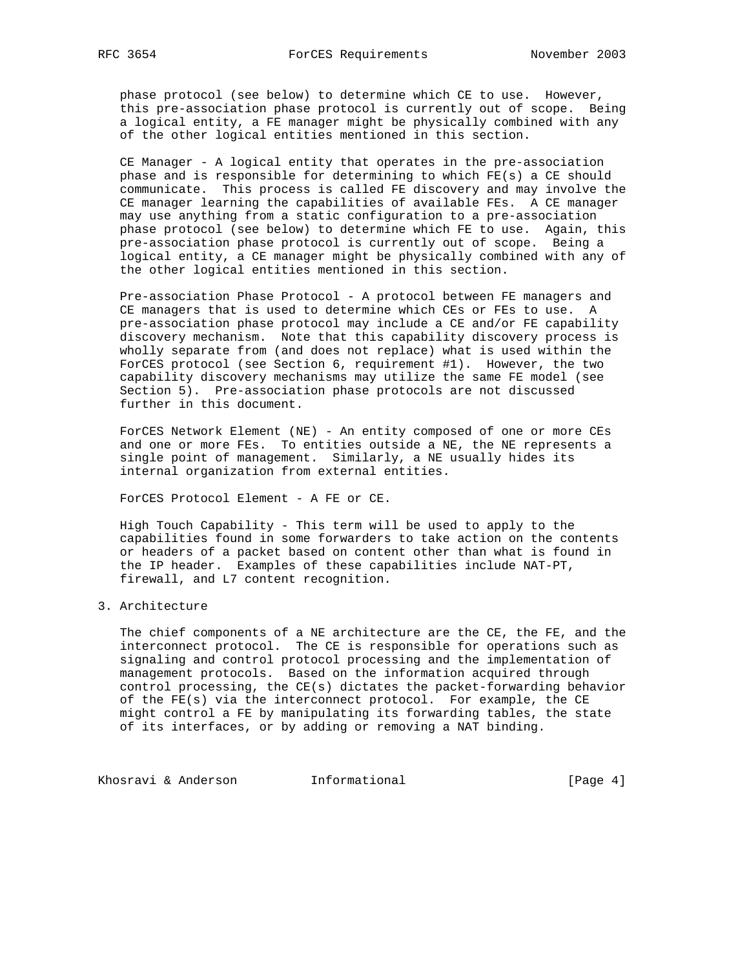phase protocol (see below) to determine which CE to use. However, this pre-association phase protocol is currently out of scope. Being a logical entity, a FE manager might be physically combined with any of the other logical entities mentioned in this section.

 CE Manager - A logical entity that operates in the pre-association phase and is responsible for determining to which FE(s) a CE should communicate. This process is called FE discovery and may involve the CE manager learning the capabilities of available FEs. A CE manager may use anything from a static configuration to a pre-association phase protocol (see below) to determine which FE to use. Again, this pre-association phase protocol is currently out of scope. Being a logical entity, a CE manager might be physically combined with any of the other logical entities mentioned in this section.

 Pre-association Phase Protocol - A protocol between FE managers and CE managers that is used to determine which CEs or FEs to use. A pre-association phase protocol may include a CE and/or FE capability discovery mechanism. Note that this capability discovery process is wholly separate from (and does not replace) what is used within the ForCES protocol (see Section 6, requirement #1). However, the two capability discovery mechanisms may utilize the same FE model (see Section 5). Pre-association phase protocols are not discussed further in this document.

 ForCES Network Element (NE) - An entity composed of one or more CEs and one or more FEs. To entities outside a NE, the NE represents a single point of management. Similarly, a NE usually hides its internal organization from external entities.

ForCES Protocol Element - A FE or CE.

 High Touch Capability - This term will be used to apply to the capabilities found in some forwarders to take action on the contents or headers of a packet based on content other than what is found in the IP header. Examples of these capabilities include NAT-PT, firewall, and L7 content recognition.

## 3. Architecture

 The chief components of a NE architecture are the CE, the FE, and the interconnect protocol. The CE is responsible for operations such as signaling and control protocol processing and the implementation of management protocols. Based on the information acquired through control processing, the CE(s) dictates the packet-forwarding behavior of the FE(s) via the interconnect protocol. For example, the CE might control a FE by manipulating its forwarding tables, the state of its interfaces, or by adding or removing a NAT binding.

Khosravi & Anderson **Informational Informational** [Page 4]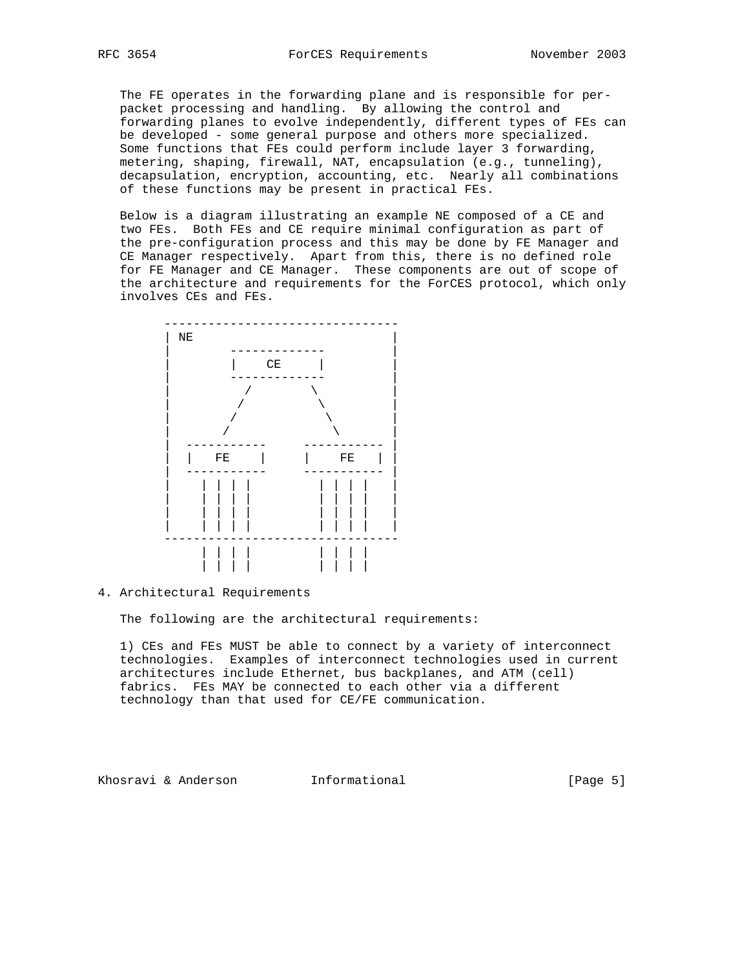The FE operates in the forwarding plane and is responsible for per packet processing and handling. By allowing the control and forwarding planes to evolve independently, different types of FEs can be developed - some general purpose and others more specialized. Some functions that FEs could perform include layer 3 forwarding, metering, shaping, firewall, NAT, encapsulation (e.g., tunneling), decapsulation, encryption, accounting, etc. Nearly all combinations of these functions may be present in practical FEs.

 Below is a diagram illustrating an example NE composed of a CE and two FEs. Both FEs and CE require minimal configuration as part of the pre-configuration process and this may be done by FE Manager and CE Manager respectively. Apart from this, there is no defined role for FE Manager and CE Manager. These components are out of scope of the architecture and requirements for the ForCES protocol, which only involves CEs and FEs.



### 4. Architectural Requirements

The following are the architectural requirements:

 1) CEs and FEs MUST be able to connect by a variety of interconnect technologies. Examples of interconnect technologies used in current architectures include Ethernet, bus backplanes, and ATM (cell) fabrics. FEs MAY be connected to each other via a different technology than that used for CE/FE communication.

Khosravi & Anderson **Informational Informational** [Page 5]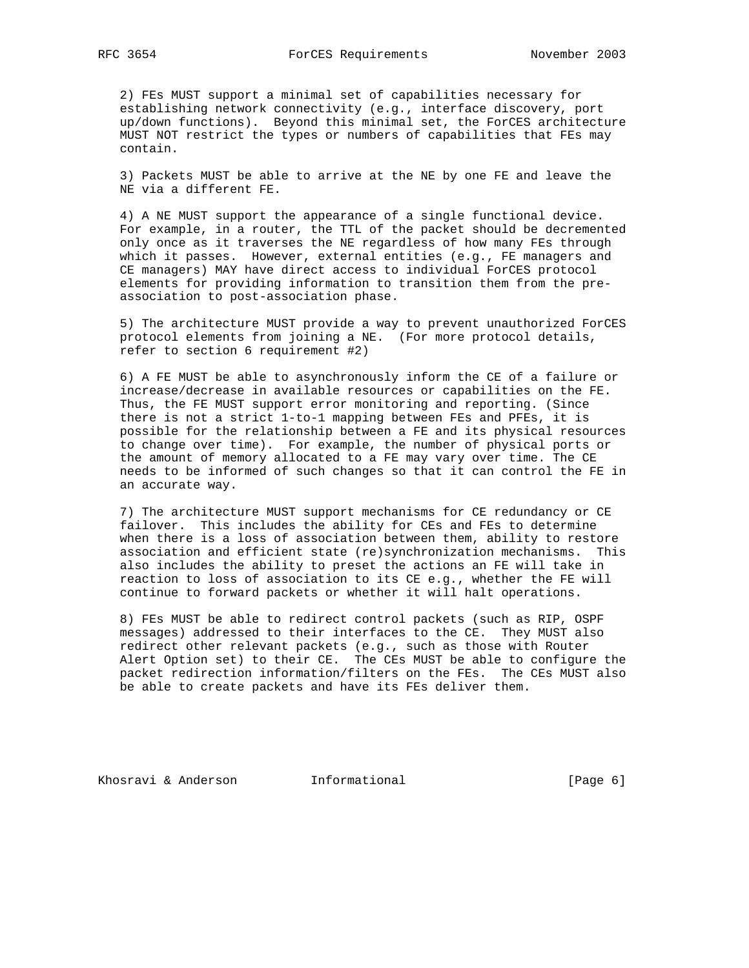2) FEs MUST support a minimal set of capabilities necessary for establishing network connectivity (e.g., interface discovery, port up/down functions). Beyond this minimal set, the ForCES architecture MUST NOT restrict the types or numbers of capabilities that FEs may contain.

 3) Packets MUST be able to arrive at the NE by one FE and leave the NE via a different FE.

 4) A NE MUST support the appearance of a single functional device. For example, in a router, the TTL of the packet should be decremented only once as it traverses the NE regardless of how many FEs through which it passes. However, external entities (e.g., FE managers and CE managers) MAY have direct access to individual ForCES protocol elements for providing information to transition them from the pre association to post-association phase.

 5) The architecture MUST provide a way to prevent unauthorized ForCES protocol elements from joining a NE. (For more protocol details, refer to section 6 requirement #2)

 6) A FE MUST be able to asynchronously inform the CE of a failure or increase/decrease in available resources or capabilities on the FE. Thus, the FE MUST support error monitoring and reporting. (Since there is not a strict 1-to-1 mapping between FEs and PFEs, it is possible for the relationship between a FE and its physical resources to change over time). For example, the number of physical ports or the amount of memory allocated to a FE may vary over time. The CE needs to be informed of such changes so that it can control the FE in an accurate way.

 7) The architecture MUST support mechanisms for CE redundancy or CE failover. This includes the ability for CEs and FEs to determine when there is a loss of association between them, ability to restore association and efficient state (re)synchronization mechanisms. This also includes the ability to preset the actions an FE will take in reaction to loss of association to its CE e.g., whether the FE will continue to forward packets or whether it will halt operations.

 8) FEs MUST be able to redirect control packets (such as RIP, OSPF messages) addressed to their interfaces to the CE. They MUST also redirect other relevant packets (e.g., such as those with Router Alert Option set) to their CE. The CEs MUST be able to configure the packet redirection information/filters on the FEs. The CEs MUST also be able to create packets and have its FEs deliver them.

Khosravi & Anderson **Informational Informational** [Page 6]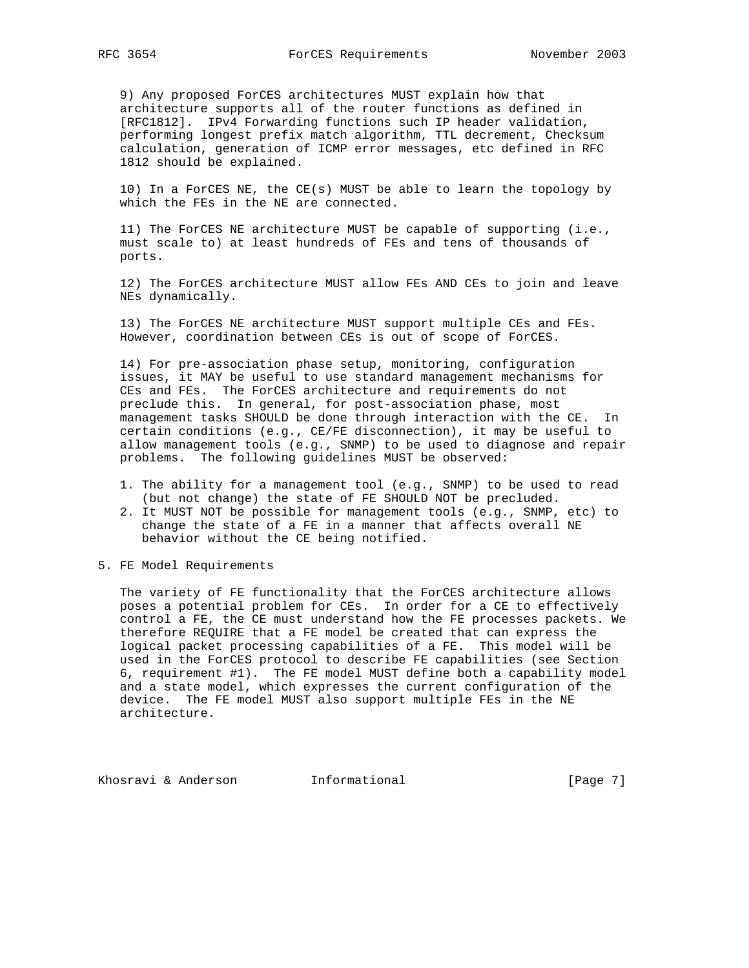9) Any proposed ForCES architectures MUST explain how that architecture supports all of the router functions as defined in [RFC1812]. IPv4 Forwarding functions such IP header validation, performing longest prefix match algorithm, TTL decrement, Checksum calculation, generation of ICMP error messages, etc defined in RFC 1812 should be explained.

 10) In a ForCES NE, the CE(s) MUST be able to learn the topology by which the FEs in the NE are connected.

 11) The ForCES NE architecture MUST be capable of supporting (i.e., must scale to) at least hundreds of FEs and tens of thousands of ports.

 12) The ForCES architecture MUST allow FEs AND CEs to join and leave NEs dynamically.

 13) The ForCES NE architecture MUST support multiple CEs and FEs. However, coordination between CEs is out of scope of ForCES.

 14) For pre-association phase setup, monitoring, configuration issues, it MAY be useful to use standard management mechanisms for CEs and FEs. The ForCES architecture and requirements do not preclude this. In general, for post-association phase, most management tasks SHOULD be done through interaction with the CE. In certain conditions (e.g., CE/FE disconnection), it may be useful to allow management tools (e.g., SNMP) to be used to diagnose and repair problems. The following guidelines MUST be observed:

- 1. The ability for a management tool (e.g., SNMP) to be used to read (but not change) the state of FE SHOULD NOT be precluded.
- 2. It MUST NOT be possible for management tools (e.g., SNMP, etc) to change the state of a FE in a manner that affects overall NE behavior without the CE being notified.
- 5. FE Model Requirements

 The variety of FE functionality that the ForCES architecture allows poses a potential problem for CEs. In order for a CE to effectively control a FE, the CE must understand how the FE processes packets. We therefore REQUIRE that a FE model be created that can express the logical packet processing capabilities of a FE. This model will be used in the ForCES protocol to describe FE capabilities (see Section 6, requirement #1). The FE model MUST define both a capability model and a state model, which expresses the current configuration of the device. The FE model MUST also support multiple FEs in the NE architecture.

Khosravi & Anderson **Informational Informational** [Page 7]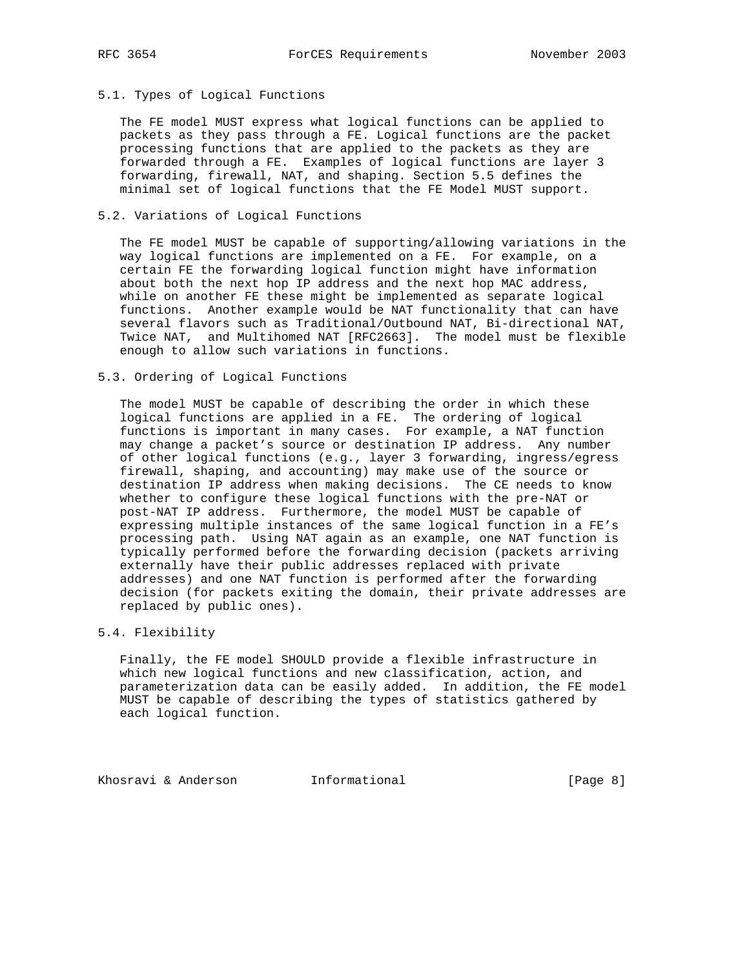## 5.1. Types of Logical Functions

 The FE model MUST express what logical functions can be applied to packets as they pass through a FE. Logical functions are the packet processing functions that are applied to the packets as they are forwarded through a FE. Examples of logical functions are layer 3 forwarding, firewall, NAT, and shaping. Section 5.5 defines the minimal set of logical functions that the FE Model MUST support.

## 5.2. Variations of Logical Functions

 The FE model MUST be capable of supporting/allowing variations in the way logical functions are implemented on a FE. For example, on a certain FE the forwarding logical function might have information about both the next hop IP address and the next hop MAC address, while on another FE these might be implemented as separate logical functions. Another example would be NAT functionality that can have several flavors such as Traditional/Outbound NAT, Bi-directional NAT, Twice NAT, and Multihomed NAT [RFC2663]. The model must be flexible enough to allow such variations in functions.

### 5.3. Ordering of Logical Functions

 The model MUST be capable of describing the order in which these logical functions are applied in a FE. The ordering of logical functions is important in many cases. For example, a NAT function may change a packet's source or destination IP address. Any number of other logical functions (e.g., layer 3 forwarding, ingress/egress firewall, shaping, and accounting) may make use of the source or destination IP address when making decisions. The CE needs to know whether to configure these logical functions with the pre-NAT or post-NAT IP address. Furthermore, the model MUST be capable of expressing multiple instances of the same logical function in a FE's processing path. Using NAT again as an example, one NAT function is typically performed before the forwarding decision (packets arriving externally have their public addresses replaced with private addresses) and one NAT function is performed after the forwarding decision (for packets exiting the domain, their private addresses are replaced by public ones).

# 5.4. Flexibility

 Finally, the FE model SHOULD provide a flexible infrastructure in which new logical functions and new classification, action, and parameterization data can be easily added. In addition, the FE model MUST be capable of describing the types of statistics gathered by each logical function.

Khosravi & Anderson **Informational Informational** [Page 8]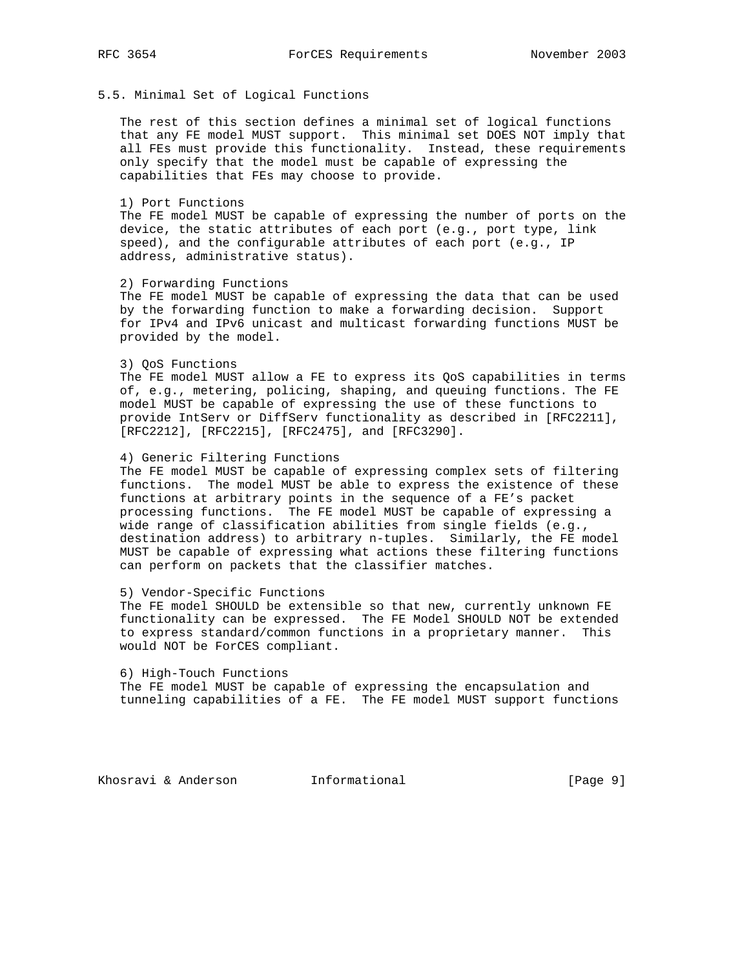# 5.5. Minimal Set of Logical Functions

 The rest of this section defines a minimal set of logical functions that any FE model MUST support. This minimal set DOES NOT imply that all FEs must provide this functionality. Instead, these requirements only specify that the model must be capable of expressing the capabilities that FEs may choose to provide.

### 1) Port Functions

 The FE model MUST be capable of expressing the number of ports on the device, the static attributes of each port (e.g., port type, link speed), and the configurable attributes of each port (e.g., IP address, administrative status).

### 2) Forwarding Functions

 The FE model MUST be capable of expressing the data that can be used by the forwarding function to make a forwarding decision. Support for IPv4 and IPv6 unicast and multicast forwarding functions MUST be provided by the model.

### 3) QoS Functions

 The FE model MUST allow a FE to express its QoS capabilities in terms of, e.g., metering, policing, shaping, and queuing functions. The FE model MUST be capable of expressing the use of these functions to provide IntServ or DiffServ functionality as described in [RFC2211], [RFC2212], [RFC2215], [RFC2475], and [RFC3290].

## 4) Generic Filtering Functions

 The FE model MUST be capable of expressing complex sets of filtering functions. The model MUST be able to express the existence of these functions at arbitrary points in the sequence of a FE's packet processing functions. The FE model MUST be capable of expressing a wide range of classification abilities from single fields (e.g., destination address) to arbitrary n-tuples. Similarly, the FE model MUST be capable of expressing what actions these filtering functions can perform on packets that the classifier matches.

#### 5) Vendor-Specific Functions

 The FE model SHOULD be extensible so that new, currently unknown FE functionality can be expressed. The FE Model SHOULD NOT be extended to express standard/common functions in a proprietary manner. This would NOT be ForCES compliant.

 6) High-Touch Functions The FE model MUST be capable of expressing the encapsulation and tunneling capabilities of a FE. The FE model MUST support functions

Khosravi & Anderson **Informational Informational** [Page 9]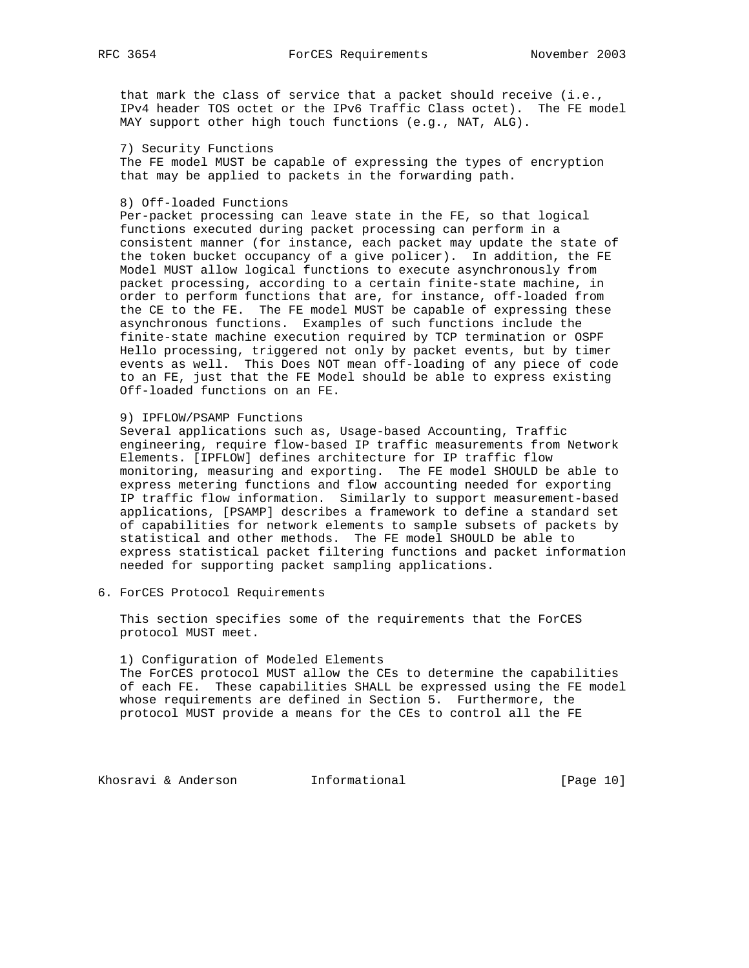that mark the class of service that a packet should receive (i.e., IPv4 header TOS octet or the IPv6 Traffic Class octet). The FE model MAY support other high touch functions (e.g., NAT, ALG).

## 7) Security Functions

 The FE model MUST be capable of expressing the types of encryption that may be applied to packets in the forwarding path.

## 8) Off-loaded Functions

 Per-packet processing can leave state in the FE, so that logical functions executed during packet processing can perform in a consistent manner (for instance, each packet may update the state of the token bucket occupancy of a give policer). In addition, the FE Model MUST allow logical functions to execute asynchronously from packet processing, according to a certain finite-state machine, in order to perform functions that are, for instance, off-loaded from the CE to the FE. The FE model MUST be capable of expressing these asynchronous functions. Examples of such functions include the finite-state machine execution required by TCP termination or OSPF Hello processing, triggered not only by packet events, but by timer events as well. This Does NOT mean off-loading of any piece of code to an FE, just that the FE Model should be able to express existing Off-loaded functions on an FE.

### 9) IPFLOW/PSAMP Functions

 Several applications such as, Usage-based Accounting, Traffic engineering, require flow-based IP traffic measurements from Network Elements. [IPFLOW] defines architecture for IP traffic flow monitoring, measuring and exporting. The FE model SHOULD be able to express metering functions and flow accounting needed for exporting IP traffic flow information. Similarly to support measurement-based applications, [PSAMP] describes a framework to define a standard set of capabilities for network elements to sample subsets of packets by statistical and other methods. The FE model SHOULD be able to express statistical packet filtering functions and packet information needed for supporting packet sampling applications.

6. ForCES Protocol Requirements

 This section specifies some of the requirements that the ForCES protocol MUST meet.

 1) Configuration of Modeled Elements The ForCES protocol MUST allow the CEs to determine the capabilities of each FE. These capabilities SHALL be expressed using the FE model whose requirements are defined in Section 5. Furthermore, the protocol MUST provide a means for the CEs to control all the FE

Khosravi & Anderson **Informational** [Page 10]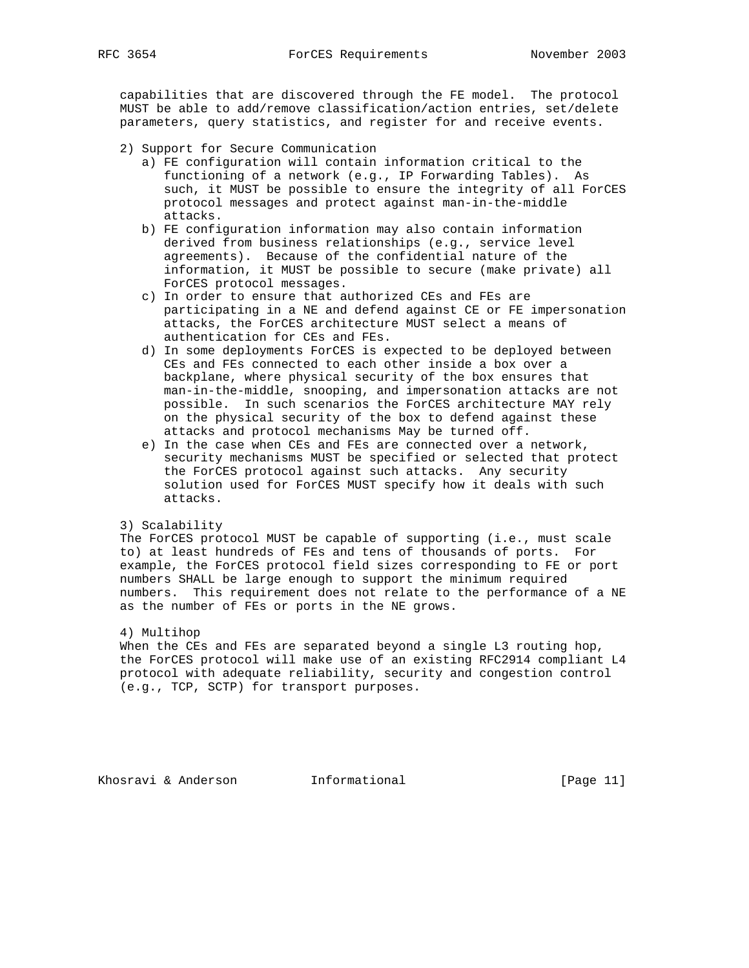capabilities that are discovered through the FE model. The protocol MUST be able to add/remove classification/action entries, set/delete parameters, query statistics, and register for and receive events.

- 2) Support for Secure Communication
	- a) FE configuration will contain information critical to the functioning of a network (e.g., IP Forwarding Tables). As such, it MUST be possible to ensure the integrity of all ForCES protocol messages and protect against man-in-the-middle attacks.
	- b) FE configuration information may also contain information derived from business relationships (e.g., service level agreements). Because of the confidential nature of the information, it MUST be possible to secure (make private) all ForCES protocol messages.
	- c) In order to ensure that authorized CEs and FEs are participating in a NE and defend against CE or FE impersonation attacks, the ForCES architecture MUST select a means of authentication for CEs and FEs.
	- d) In some deployments ForCES is expected to be deployed between CEs and FEs connected to each other inside a box over a backplane, where physical security of the box ensures that man-in-the-middle, snooping, and impersonation attacks are not possible. In such scenarios the ForCES architecture MAY rely on the physical security of the box to defend against these attacks and protocol mechanisms May be turned off.
	- e) In the case when CEs and FEs are connected over a network, security mechanisms MUST be specified or selected that protect the ForCES protocol against such attacks. Any security solution used for ForCES MUST specify how it deals with such attacks.

### 3) Scalability

 The ForCES protocol MUST be capable of supporting (i.e., must scale to) at least hundreds of FEs and tens of thousands of ports. For example, the ForCES protocol field sizes corresponding to FE or port numbers SHALL be large enough to support the minimum required numbers. This requirement does not relate to the performance of a NE as the number of FEs or ports in the NE grows.

### 4) Multihop

 When the CEs and FEs are separated beyond a single L3 routing hop, the ForCES protocol will make use of an existing RFC2914 compliant L4 protocol with adequate reliability, security and congestion control (e.g., TCP, SCTP) for transport purposes.

Khosravi & Anderson Informational [Page 11]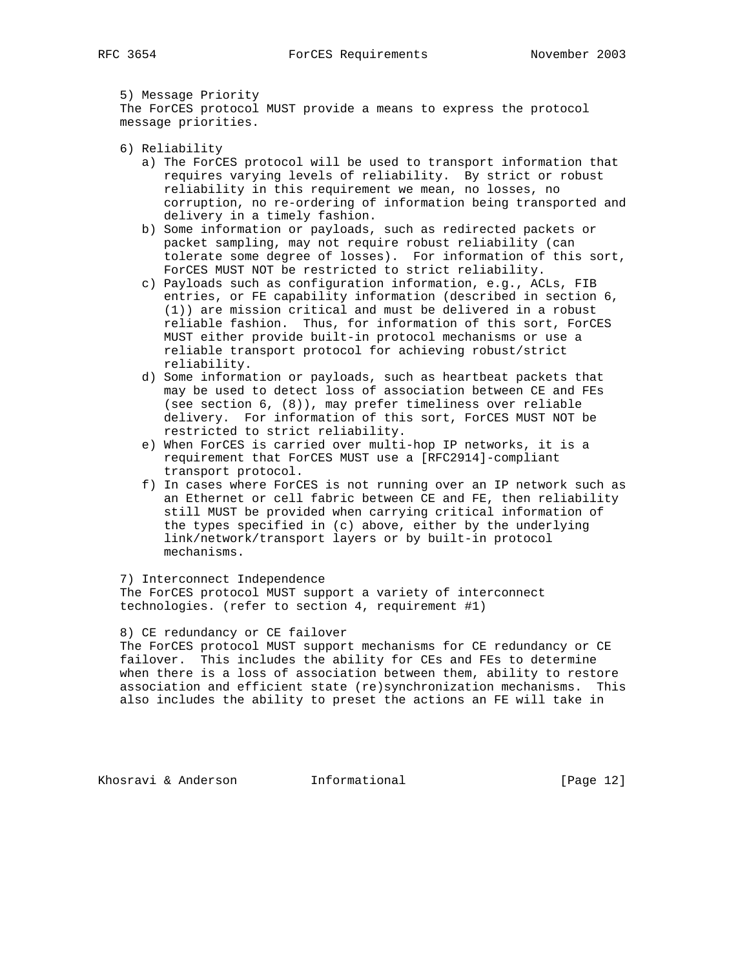5) Message Priority The ForCES protocol MUST provide a means to express the protocol message priorities.

- 6) Reliability
	- a) The ForCES protocol will be used to transport information that requires varying levels of reliability. By strict or robust reliability in this requirement we mean, no losses, no corruption, no re-ordering of information being transported and delivery in a timely fashion.
	- b) Some information or payloads, such as redirected packets or packet sampling, may not require robust reliability (can tolerate some degree of losses). For information of this sort, ForCES MUST NOT be restricted to strict reliability.
	- c) Payloads such as configuration information, e.g., ACLs, FIB entries, or FE capability information (described in section 6, (1)) are mission critical and must be delivered in a robust reliable fashion. Thus, for information of this sort, ForCES MUST either provide built-in protocol mechanisms or use a reliable transport protocol for achieving robust/strict reliability.
	- d) Some information or payloads, such as heartbeat packets that may be used to detect loss of association between CE and FEs (see section 6, (8)), may prefer timeliness over reliable delivery. For information of this sort, ForCES MUST NOT be restricted to strict reliability.
	- e) When ForCES is carried over multi-hop IP networks, it is a requirement that ForCES MUST use a [RFC2914]-compliant transport protocol.
	- f) In cases where ForCES is not running over an IP network such as an Ethernet or cell fabric between CE and FE, then reliability still MUST be provided when carrying critical information of the types specified in (c) above, either by the underlying link/network/transport layers or by built-in protocol mechanisms.

7) Interconnect Independence

 The ForCES protocol MUST support a variety of interconnect technologies. (refer to section 4, requirement #1)

8) CE redundancy or CE failover

 The ForCES protocol MUST support mechanisms for CE redundancy or CE failover. This includes the ability for CEs and FEs to determine when there is a loss of association between them, ability to restore association and efficient state (re)synchronization mechanisms. This also includes the ability to preset the actions an FE will take in

Khosravi & Anderson **Informational** [Page 12]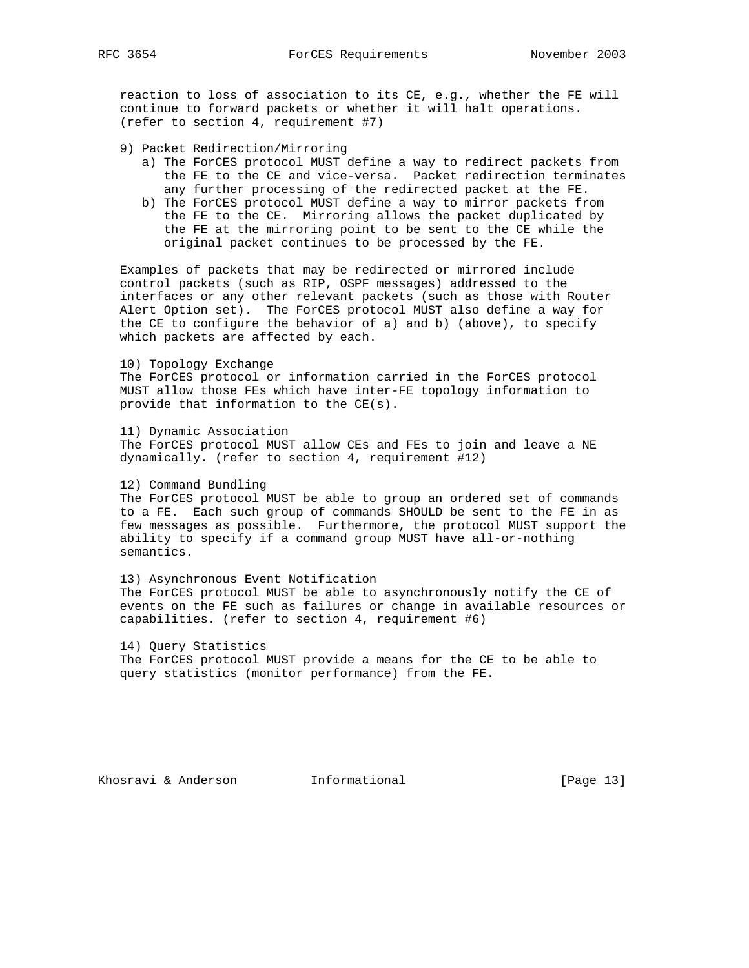reaction to loss of association to its CE, e.g., whether the FE will continue to forward packets or whether it will halt operations. (refer to section 4, requirement #7)

- 9) Packet Redirection/Mirroring
	- a) The ForCES protocol MUST define a way to redirect packets from the FE to the CE and vice-versa. Packet redirection terminates any further processing of the redirected packet at the FE.
	- b) The ForCES protocol MUST define a way to mirror packets from the FE to the CE. Mirroring allows the packet duplicated by the FE at the mirroring point to be sent to the CE while the original packet continues to be processed by the FE.

 Examples of packets that may be redirected or mirrored include control packets (such as RIP, OSPF messages) addressed to the interfaces or any other relevant packets (such as those with Router Alert Option set). The ForCES protocol MUST also define a way for the CE to configure the behavior of a) and b) (above), to specify which packets are affected by each.

### 10) Topology Exchange

 The ForCES protocol or information carried in the ForCES protocol MUST allow those FEs which have inter-FE topology information to provide that information to the CE(s).

 11) Dynamic Association The ForCES protocol MUST allow CEs and FEs to join and leave a NE dynamically. (refer to section 4, requirement #12)

### 12) Command Bundling

 The ForCES protocol MUST be able to group an ordered set of commands to a FE. Each such group of commands SHOULD be sent to the FE in as few messages as possible. Furthermore, the protocol MUST support the ability to specify if a command group MUST have all-or-nothing semantics.

 13) Asynchronous Event Notification The ForCES protocol MUST be able to asynchronously notify the CE of events on the FE such as failures or change in available resources or capabilities. (refer to section 4, requirement #6)

 14) Query Statistics The ForCES protocol MUST provide a means for the CE to be able to query statistics (monitor performance) from the FE.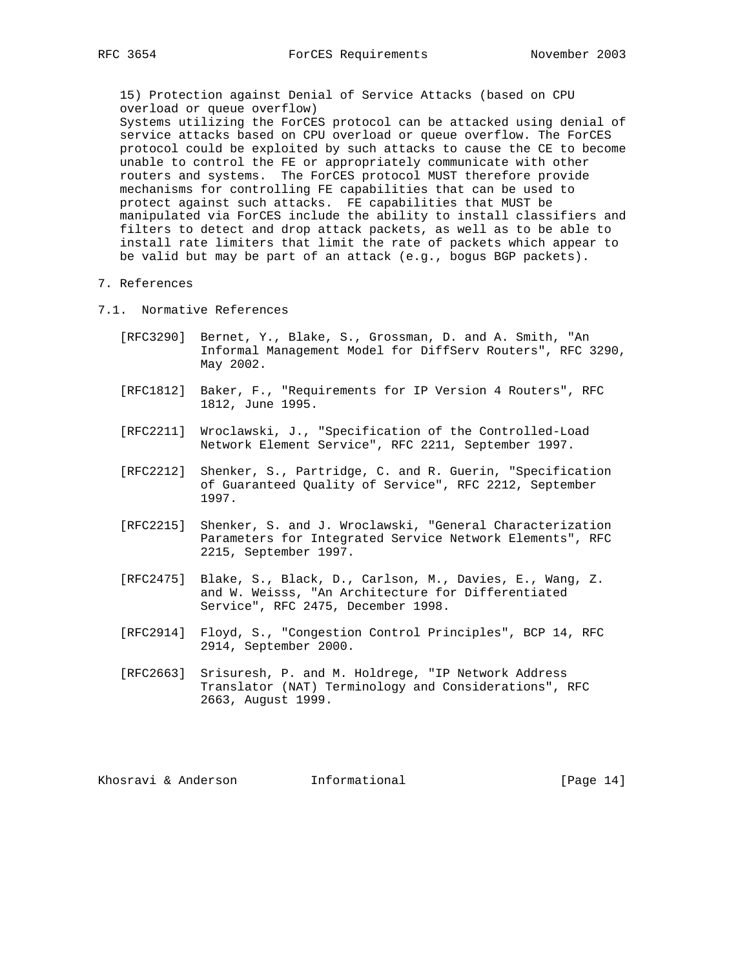15) Protection against Denial of Service Attacks (based on CPU overload or queue overflow)

 Systems utilizing the ForCES protocol can be attacked using denial of service attacks based on CPU overload or queue overflow. The ForCES protocol could be exploited by such attacks to cause the CE to become unable to control the FE or appropriately communicate with other routers and systems. The ForCES protocol MUST therefore provide mechanisms for controlling FE capabilities that can be used to protect against such attacks. FE capabilities that MUST be manipulated via ForCES include the ability to install classifiers and filters to detect and drop attack packets, as well as to be able to install rate limiters that limit the rate of packets which appear to be valid but may be part of an attack (e.g., bogus BGP packets).

### 7. References

- 7.1. Normative References
	- [RFC3290] Bernet, Y., Blake, S., Grossman, D. and A. Smith, "An Informal Management Model for DiffServ Routers", RFC 3290, May 2002.
	- [RFC1812] Baker, F., "Requirements for IP Version 4 Routers", RFC 1812, June 1995.
	- [RFC2211] Wroclawski, J., "Specification of the Controlled-Load Network Element Service", RFC 2211, September 1997.
	- [RFC2212] Shenker, S., Partridge, C. and R. Guerin, "Specification of Guaranteed Quality of Service", RFC 2212, September 1997.
	- [RFC2215] Shenker, S. and J. Wroclawski, "General Characterization Parameters for Integrated Service Network Elements", RFC 2215, September 1997.
	- [RFC2475] Blake, S., Black, D., Carlson, M., Davies, E., Wang, Z. and W. Weisss, "An Architecture for Differentiated Service", RFC 2475, December 1998.
	- [RFC2914] Floyd, S., "Congestion Control Principles", BCP 14, RFC 2914, September 2000.
	- [RFC2663] Srisuresh, P. and M. Holdrege, "IP Network Address Translator (NAT) Terminology and Considerations", RFC 2663, August 1999.

Khosravi & Anderson **Informational Informational** [Page 14]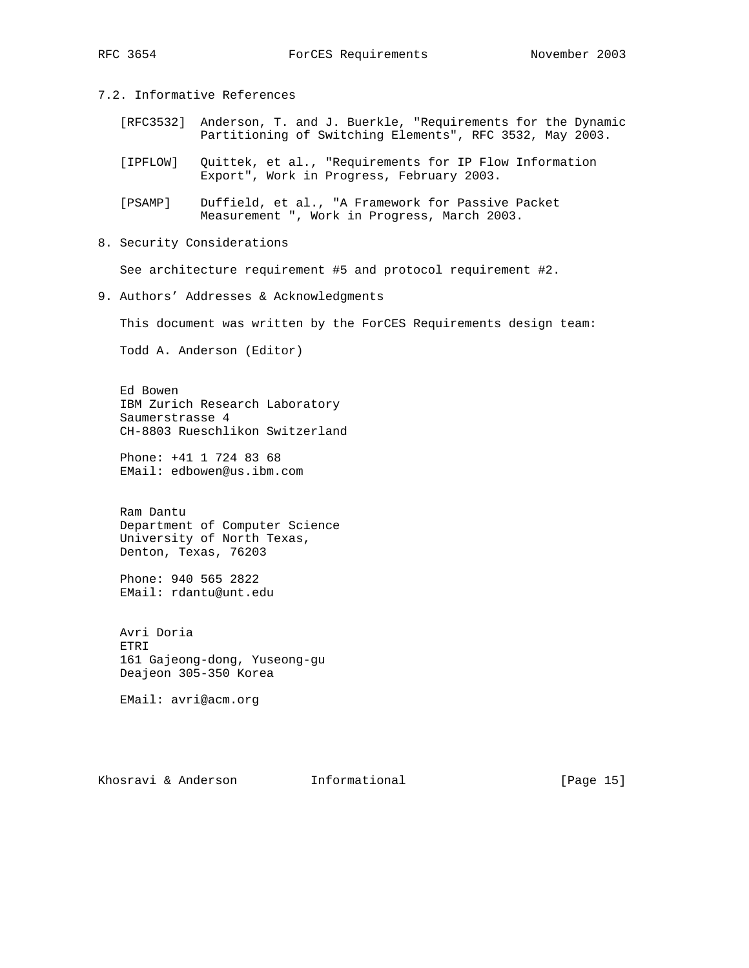# 7.2. Informative References

- [RFC3532] Anderson, T. and J. Buerkle, "Requirements for the Dynamic Partitioning of Switching Elements", RFC 3532, May 2003.
- [IPFLOW] Quittek, et al., "Requirements for IP Flow Information Export", Work in Progress, February 2003.
- [PSAMP] Duffield, et al., "A Framework for Passive Packet Measurement ", Work in Progress, March 2003.
- 8. Security Considerations

See architecture requirement #5 and protocol requirement #2.

9. Authors' Addresses & Acknowledgments

This document was written by the ForCES Requirements design team:

Todd A. Anderson (Editor)

 Ed Bowen IBM Zurich Research Laboratory Saumerstrasse 4 CH-8803 Rueschlikon Switzerland

 Phone: +41 1 724 83 68 EMail: edbowen@us.ibm.com

 Ram Dantu Department of Computer Science University of North Texas, Denton, Texas, 76203

 Phone: 940 565 2822 EMail: rdantu@unt.edu

 Avri Doria ETRI 161 Gajeong-dong, Yuseong-gu Deajeon 305-350 Korea

EMail: avri@acm.org

Khosravi & Anderson **Informational Informational** [Page 15]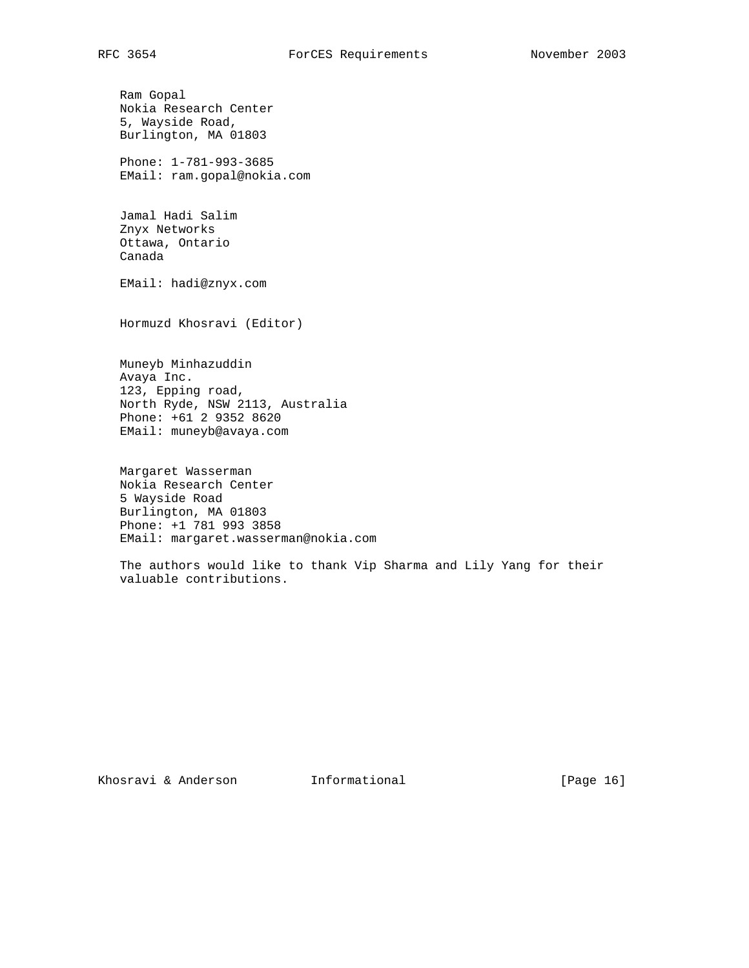Ram Gopal Nokia Research Center 5, Wayside Road, Burlington, MA 01803

 Phone: 1-781-993-3685 EMail: ram.gopal@nokia.com

 Jamal Hadi Salim Znyx Networks Ottawa, Ontario Canada

EMail: hadi@znyx.com

Hormuzd Khosravi (Editor)

 Muneyb Minhazuddin Avaya Inc. 123, Epping road, North Ryde, NSW 2113, Australia Phone: +61 2 9352 8620 EMail: muneyb@avaya.com

 Margaret Wasserman Nokia Research Center 5 Wayside Road Burlington, MA 01803 Phone: +1 781 993 3858 EMail: margaret.wasserman@nokia.com

 The authors would like to thank Vip Sharma and Lily Yang for their valuable contributions.

Khosravi & Anderson **Informational Informational** [Page 16]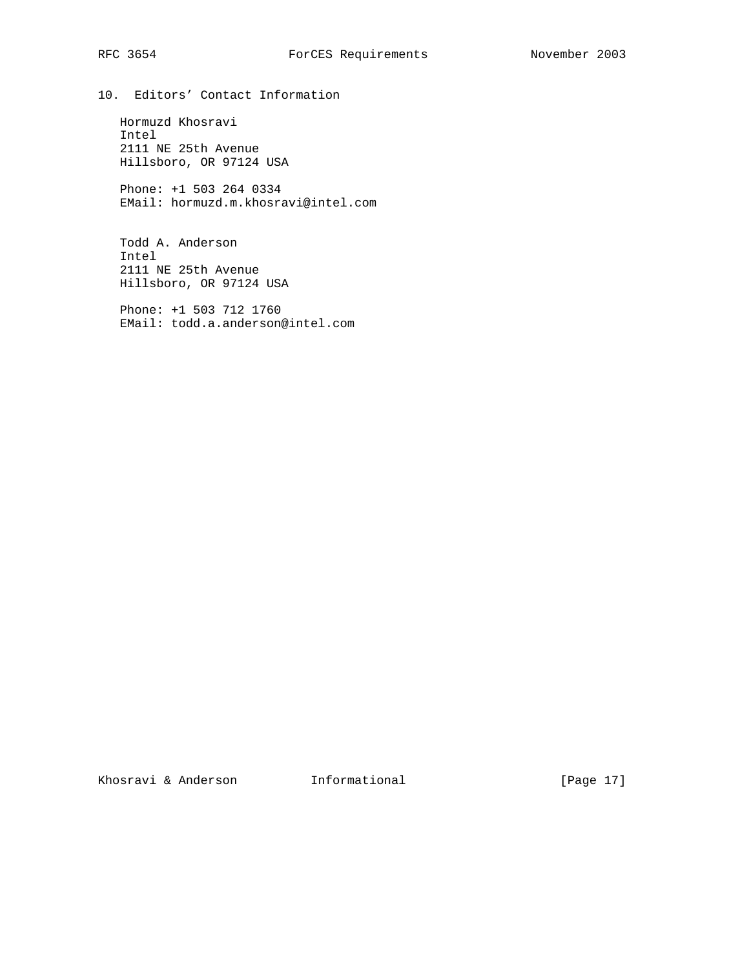10. Editors' Contact Information

 Hormuzd Khosravi Intel 2111 NE 25th Avenue Hillsboro, OR 97124 USA

 Phone: +1 503 264 0334 EMail: hormuzd.m.khosravi@intel.com

 Todd A. Anderson Intel 2111 NE 25th Avenue Hillsboro, OR 97124 USA

 Phone: +1 503 712 1760 EMail: todd.a.anderson@intel.com